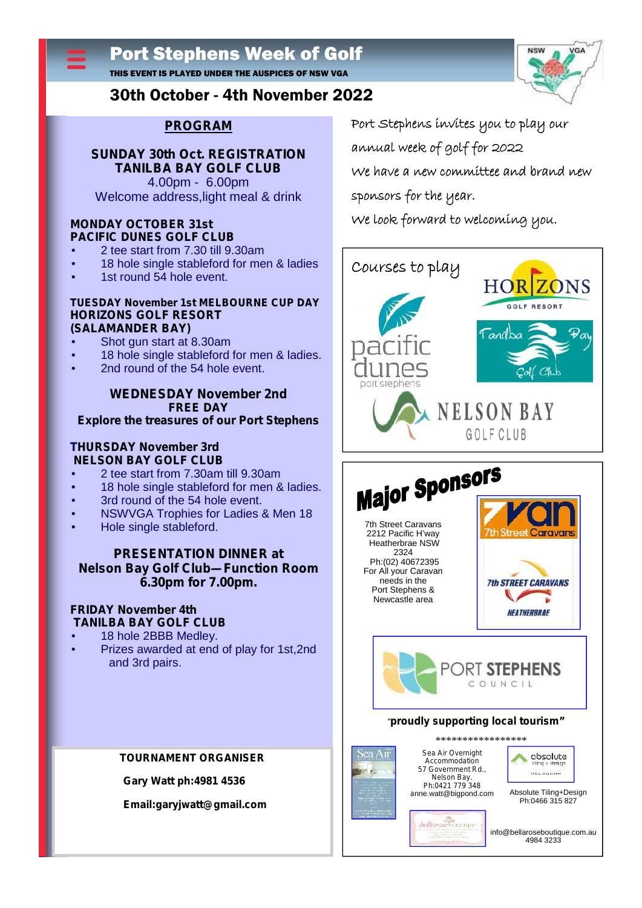# Port Stephens Week of Golf

THIS EVENT IS PLAYED UNDER THE AUSPICES OF NSW VGA



## 30th October - 4th November 2022

## **PROGRAM**

#### **SUNDAY 30th Oct. REGISTRATION TANILBA BAY GOLF CLUB** 4.00pm - 6.00pm Welcome address,light meal & drink

#### **MONDAY OCTOBER 31st PACIFIC DUNES GOLF CLUB**

2 tee start from 7.30 till 9.30am

- 18 hole single stableford for men & ladies
- 1st round 54 hole event.

#### **TUESDAY November 1st MELBOURNE CUP DAY HORIZONS GOLF RESORT (SALAMANDER BAY)**

Shot gun start at 8.30am

- 18 hole single stableford for men & ladies.
- 2nd round of the 54 hole event.

#### **WEDNESDAY November 2nd FREE DAY Explore the treasures of our Port Stephens**

#### **THURSDAY November 3rd NELSON BAY GOLF CLUB**

- 2 tee start from 7.30am till 9.30am
- 18 hole single stableford for men & ladies.
- 3rd round of the 54 hole event.
- 
- Hole single stableford.

#### **PRESENTATION DINNER at Nelson Bay Golf Club—Function Room 6.30pm for 7.00pm.**

#### **FRIDAY November 4th TANILBA BAY GOLF CLUB**

 18 hole 2BBB Medley. Prizes awarded at end of play for 1st,2nd and 3rd pairs.

#### **TOURNAMENT ORGANISER**

**Gary Watt ph:4981 4536**

**Email:garyjwatt@gmail.com**

**Port Stephens invites you to play our**

**annual week of golf for 2022**

**We have a new committee and brand new**

**sponsors for the year.**

**We look forward to welcoming you.**





#### *"proudly supporting local tourism"*



*Sea Air Overnight Accommodation 57 Government Rd., Nelson Bay. Ph:0421 779 348 a*nne.watt@bigpond.com \*\*\*\*\*\*\*\*\*\*\*\*\*\*\*\*\*



Absolute Tiling+Design Ph:0466 315 827

*bellarosebomina* info@bellaroseboutique.com.au 4984 3233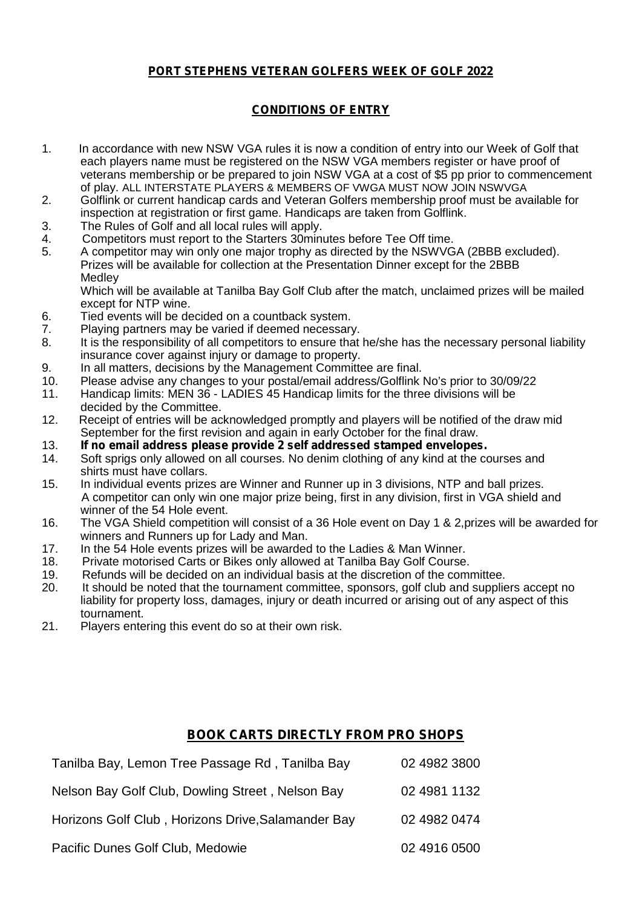## **PORT STEPHENS VETERAN GOLFERS WEEK OF GOLF 2022**

## **CONDITIONS OF ENTRY**

- 1. In accordance with new NSW VGA rules it is now a condition of entry into our Week of Golf that each players name must be registered on the NSW VGA members register or have proof of veterans membership or be prepared to join NSW VGA at a cost of \$5 pp prior to commencement of play. ALL INTERSTATE PLAYERS & MEMBERS OF VWGA MUST NOW JOIN NSWVGA
- 2. Golflink or current handicap cards and Veteran Golfers membership proof must be available for inspection at registration or first game. Handicaps are taken from Golflink.
- 3. The Rules of Golf and all local rules will apply.
- 4. Competitors must report to the Starters 30minutes before Tee Off time.
- 5. A competitor may win only one major trophy as directed by the NSWVGA (2BBB excluded). Prizes will be available for collection at the Presentation Dinner except for the 2BBB **Medley**

Which will be available at Tanilba Bay Golf Club after the match, unclaimed prizes will be mailed except for NTP wine.

- 6. Tied events will be decided on a countback system.
- 7. Playing partners may be varied if deemed necessary.<br>8. It is the responsibility of all competitors to ensure that
- It is the responsibility of all competitors to ensure that he/she has the necessary personal liability insurance cover against injury or damage to property.
- 9. In all matters, decisions by the Management Committee are final.
- 10. Please advise any changes to your postal/email address/Golflink No's prior to 30/09/22
- 11. Handicap limits: MEN 36 LADIES 45 Handicap limits for the three divisions will be decided by the Committee.
- 12. Receipt of entries will be acknowledged promptly and players will be notified of the draw mid September for the first revision and again in early October for the final draw.
- 13. **If no email address please provide 2 self addressed stamped envelopes.**
- Soft sprigs only allowed on all courses. No denim clothing of any kind at the courses and shirts must have collars.
- 15. In individual events prizes are Winner and Runner up in 3 divisions, NTP and ball prizes. A competitor can only win one major prize being, first in any division, first in VGA shield and winner of the 54 Hole event.
- 16. The VGA Shield competition will consist of a 36 Hole event on Day 1 & 2,prizes will be awarded for winners and Runners up for Lady and Man.
- 17. In the 54 Hole events prizes will be awarded to the Ladies & Man Winner.<br>18. Private motorised Carts or Bikes only allowed at Tanilba Bay Golf Course.
- 18. Private motorised Carts or Bikes only allowed at Tanilba Bay Golf Course.<br>19. Refunds will be decided on an individual basis at the discretion of the comi
- 19. Refunds will be decided on an individual basis at the discretion of the committee.
- It should be noted that the tournament committee, sponsors, golf club and suppliers accept no liability for property loss, damages, injury or death incurred or arising out of any aspect of this tournament.
- 21. Players entering this event do so at their own risk.

## **BOOK CARTS DIRECTLY FROM PRO SHOPS**

| Tanilba Bay, Lemon Tree Passage Rd, Tanilba Bay    | 02 4982 3800 |
|----------------------------------------------------|--------------|
| Nelson Bay Golf Club, Dowling Street, Nelson Bay   | 02 4981 1132 |
| Horizons Golf Club, Horizons Drive, Salamander Bay | 02 4982 0474 |
| Pacific Dunes Golf Club, Medowie                   | 02 4916 0500 |